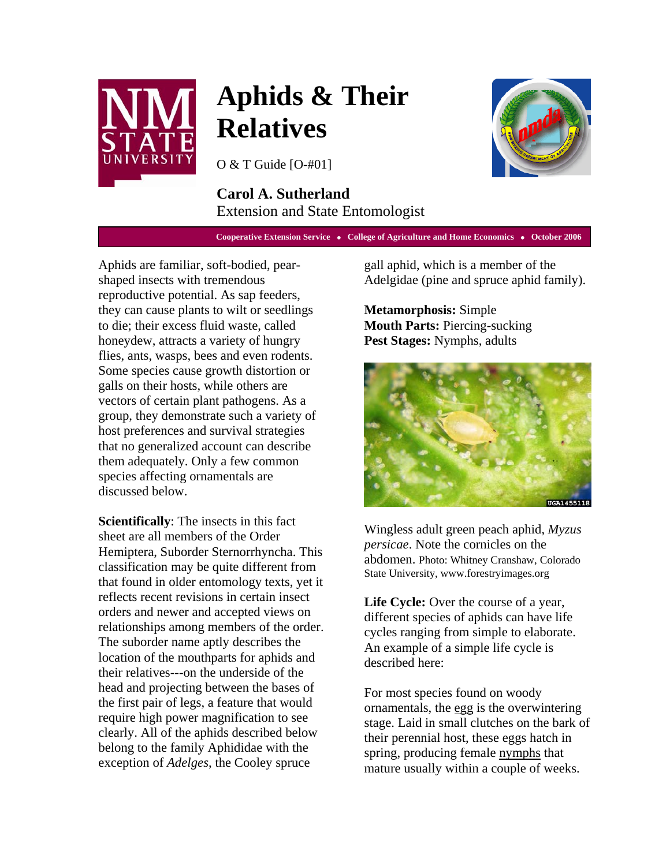

# **Aphids & Their Relatives**

O & T Guide [O-#01]

## **Carol A. Sutherland**  Extension and State Entomologist

**Cooperative Extension Service • College of Agriculture and Home Economics • October 2006** 

Aphids are familiar, soft-bodied, pearshaped insects with tremendous reproductive potential. As sap feeders, they can cause plants to wilt or seedlings to die; their excess fluid waste, called honeydew, attracts a variety of hungry flies, ants, wasps, bees and even rodents. Some species cause growth distortion or galls on their hosts, while others are vectors of certain plant pathogens. As a group, they demonstrate such a variety of host preferences and survival strategies that no generalized account can describe them adequately. Only a few common species affecting ornamentals are discussed below.

**Scientifically**: The insects in this fact sheet are all members of the Order Hemiptera, Suborder Sternorrhyncha. This classification may be quite different from that found in older entomology texts, yet it reflects recent revisions in certain insect orders and newer and accepted views on relationships among members of the order. The suborder name aptly describes the location of the mouthparts for aphids and their relatives---on the underside of the head and projecting between the bases of the first pair of legs, a feature that would require high power magnification to see clearly. All of the aphids described below belong to the family Aphididae with the exception of *Adelges*, the Cooley spruce

gall aphid, which is a member of the Adelgidae (pine and spruce aphid family).

**Metamorphosis:** Simple **Mouth Parts:** Piercing-sucking **Pest Stages:** Nymphs, adults



Wingless adult green peach aphid, *Myzus persicae*. Note the cornicles on the abdomen. Photo: Whitney Cranshaw, Colorado State University, www.forestryimages.org

**Life Cycle:** Over the course of a year, different species of aphids can have life cycles ranging from simple to elaborate. An example of a simple life cycle is described here:

For most species found on woody ornamentals, the egg is the overwintering stage. Laid in small clutches on the bark of their perennial host, these eggs hatch in spring, producing female nymphs that mature usually within a couple of weeks.

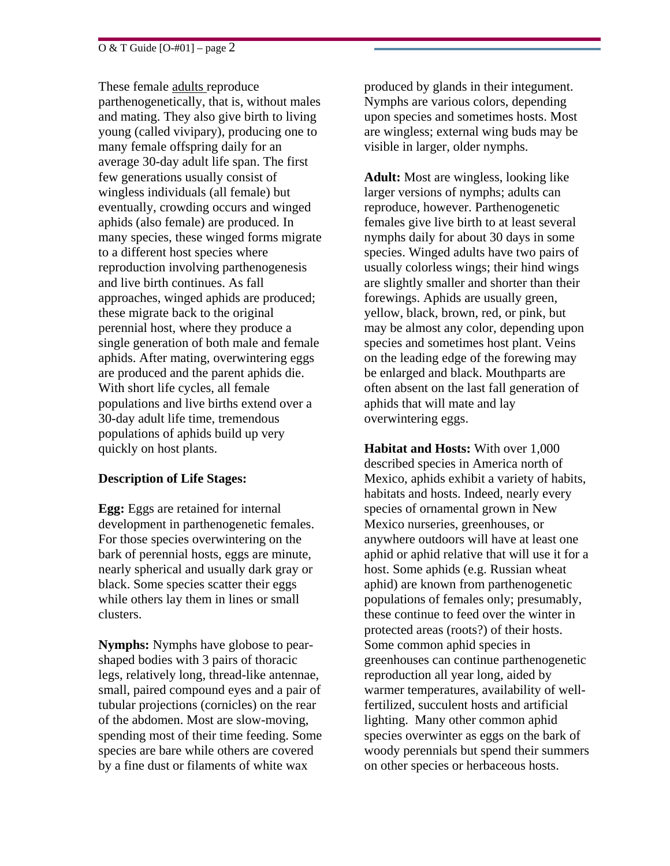These female adults reproduce parthenogenetically, that is, without males and mating. They also give birth to living young (called vivipary), producing one to many female offspring daily for an average 30-day adult life span. The first few generations usually consist of wingless individuals (all female) but eventually, crowding occurs and winged aphids (also female) are produced. In many species, these winged forms migrate to a different host species where reproduction involving parthenogenesis and live birth continues. As fall approaches, winged aphids are produced; these migrate back to the original perennial host, where they produce a single generation of both male and female aphids. After mating, overwintering eggs are produced and the parent aphids die. With short life cycles, all female populations and live births extend over a 30-day adult life time, tremendous populations of aphids build up very quickly on host plants.

### **Description of Life Stages:**

**Egg:** Eggs are retained for internal development in parthenogenetic females. For those species overwintering on the bark of perennial hosts, eggs are minute, nearly spherical and usually dark gray or black. Some species scatter their eggs while others lay them in lines or small clusters.

**Nymphs:** Nymphs have globose to pearshaped bodies with 3 pairs of thoracic legs, relatively long, thread-like antennae, small, paired compound eyes and a pair of tubular projections (cornicles) on the rear of the abdomen. Most are slow-moving, spending most of their time feeding. Some species are bare while others are covered by a fine dust or filaments of white wax

produced by glands in their integument. Nymphs are various colors, depending upon species and sometimes hosts. Most are wingless; external wing buds may be visible in larger, older nymphs.

**Adult:** Most are wingless, looking like larger versions of nymphs; adults can reproduce, however. Parthenogenetic females give live birth to at least several nymphs daily for about 30 days in some species. Winged adults have two pairs of usually colorless wings; their hind wings are slightly smaller and shorter than their forewings. Aphids are usually green, yellow, black, brown, red, or pink, but may be almost any color, depending upon species and sometimes host plant. Veins on the leading edge of the forewing may be enlarged and black. Mouthparts are often absent on the last fall generation of aphids that will mate and lay overwintering eggs.

**Habitat and Hosts:** With over 1,000 described species in America north of Mexico, aphids exhibit a variety of habits, habitats and hosts. Indeed, nearly every species of ornamental grown in New Mexico nurseries, greenhouses, or anywhere outdoors will have at least one aphid or aphid relative that will use it for a host. Some aphids (e.g. Russian wheat aphid) are known from parthenogenetic populations of females only; presumably, these continue to feed over the winter in protected areas (roots?) of their hosts. Some common aphid species in greenhouses can continue parthenogenetic reproduction all year long, aided by warmer temperatures, availability of wellfertilized, succulent hosts and artificial lighting. Many other common aphid species overwinter as eggs on the bark of woody perennials but spend their summers on other species or herbaceous hosts.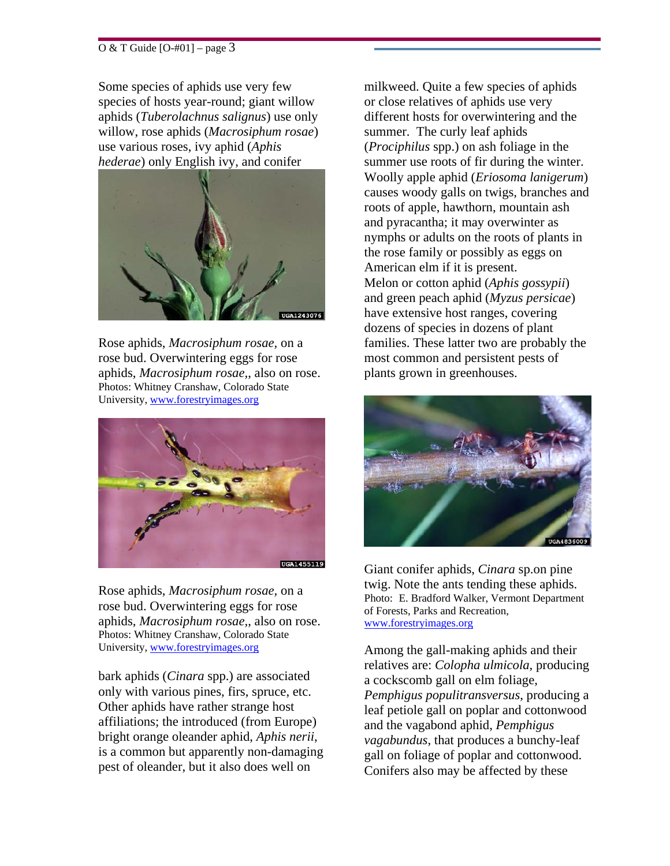#### O & T Guide  $[O=401]$  – page 3

Some species of aphids use very few species of hosts year-round; giant willow aphids (*Tuberolachnus salignus*) use only willow, rose aphids (*Macrosiphum rosae*) use various roses, ivy aphid (*Aphis hederae*) only English ivy, and conifer



Rose aphids, *Macrosiphum rosae,* on a rose bud. Overwintering eggs for rose aphids, *Macrosiphum rosae,*, also on rose. Photos: Whitney Cranshaw, Colorado State University, www.forestryimages.org



Rose aphids, *Macrosiphum rosae,* on a rose bud. Overwintering eggs for rose aphids, *Macrosiphum rosae,*, also on rose. Photos: Whitney Cranshaw, Colorado State University, www.forestryimages.org

bark aphids (*Cinara* spp.) are associated only with various pines, firs, spruce, etc. Other aphids have rather strange host affiliations; the introduced (from Europe) bright orange oleander aphid, *Aphis nerii*, is a common but apparently non-damaging pest of oleander, but it also does well on

milkweed. Quite a few species of aphids or close relatives of aphids use very different hosts for overwintering and the summer. The curly leaf aphids (*Prociphilus* spp.) on ash foliage in the summer use roots of fir during the winter. Woolly apple aphid (*Eriosoma lanigerum*) causes woody galls on twigs, branches and roots of apple, hawthorn, mountain ash and pyracantha; it may overwinter as nymphs or adults on the roots of plants in the rose family or possibly as eggs on American elm if it is present. Melon or cotton aphid (*Aphis gossypii*) and green peach aphid (*Myzus persicae*) have extensive host ranges, covering dozens of species in dozens of plant families. These latter two are probably the most common and persistent pests of plants grown in greenhouses.



Giant conifer aphids, *Cinara* sp.on pine twig. Note the ants tending these aphids. Photo: E. Bradford Walker, Vermont Department of Forests, Parks and Recreation, www.forestryimages.org

Among the gall-making aphids and their relatives are: *Colopha ulmicola*, producing a cockscomb gall on elm foliage, *Pemphigus populitransversus*, producing a leaf petiole gall on poplar and cottonwood and the vagabond aphid, *Pemphigus vagabundus*, that produces a bunchy-leaf gall on foliage of poplar and cottonwood. Conifers also may be affected by these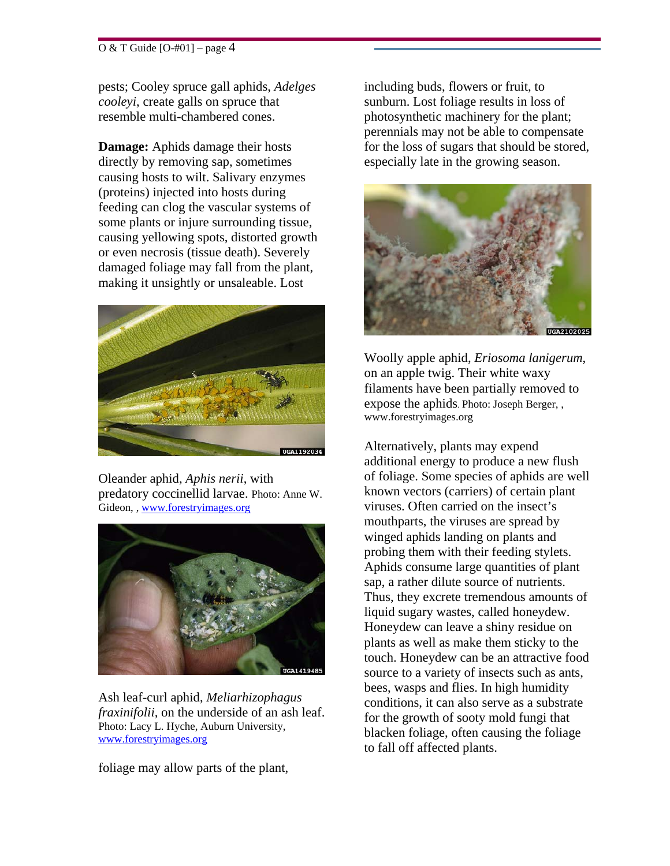#### $\overline{O \& T}$  Guide  $[O+401]$  – page 4

pests; Cooley spruce gall aphids, *Adelges cooleyi*, create galls on spruce that resemble multi-chambered cones.

**Damage:** Aphids damage their hosts directly by removing sap, sometimes causing hosts to wilt. Salivary enzymes (proteins) injected into hosts during feeding can clog the vascular systems of some plants or injure surrounding tissue, causing yellowing spots, distorted growth or even necrosis (tissue death). Severely damaged foliage may fall from the plant, making it unsightly or unsaleable. Lost



Oleander aphid, *Aphis nerii*, with predatory coccinellid larvae. Photo: Anne W. Gideon, , www.forestryimages.org



Ash leaf-curl aphid, *Meliarhizophagus fraxinifolii,* on the underside of an ash leaf. Photo: Lacy L. Hyche, Auburn University, www.forestryimages.org

foliage may allow parts of the plant,

including buds, flowers or fruit, to sunburn. Lost foliage results in loss of photosynthetic machinery for the plant; perennials may not be able to compensate for the loss of sugars that should be stored, especially late in the growing season.



Woolly apple aphid, *Eriosoma lanigerum*, on an apple twig. Their white waxy filaments have been partially removed to expose the aphids. Photo: Joseph Berger, , www.forestryimages.org

Alternatively, plants may expend additional energy to produce a new flush of foliage. Some species of aphids are well known vectors (carriers) of certain plant viruses. Often carried on the insect's mouthparts, the viruses are spread by winged aphids landing on plants and probing them with their feeding stylets. Aphids consume large quantities of plant sap, a rather dilute source of nutrients. Thus, they excrete tremendous amounts of liquid sugary wastes, called honeydew. Honeydew can leave a shiny residue on plants as well as make them sticky to the touch. Honeydew can be an attractive food source to a variety of insects such as ants, bees, wasps and flies. In high humidity conditions, it can also serve as a substrate for the growth of sooty mold fungi that blacken foliage, often causing the foliage to fall off affected plants.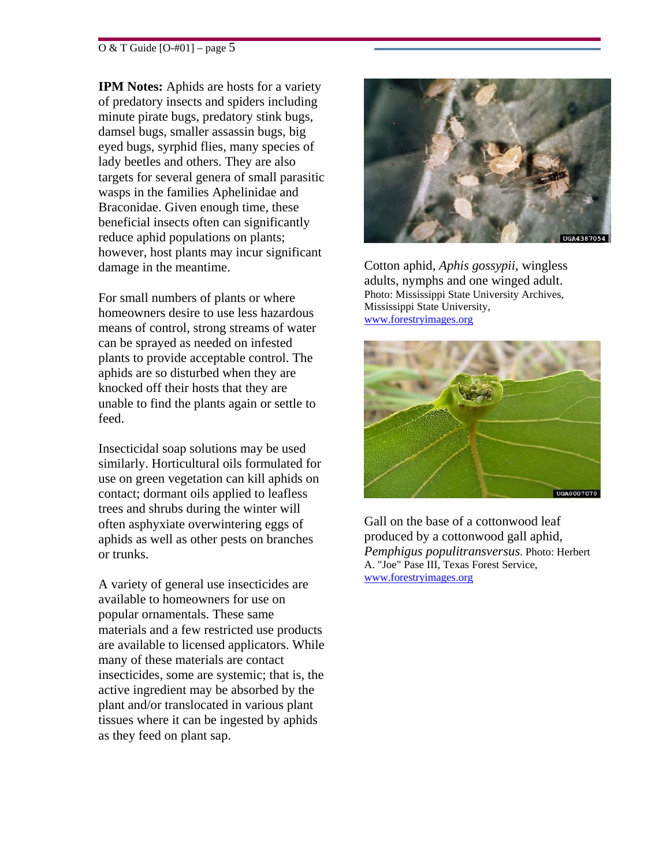#### O & T Guide [O-#01] – page 5

**IPM Notes:** Aphids are hosts for a variety of predatory insects and spiders including minute pirate bugs, predatory stink bugs, damsel bugs, smaller assassin bugs, big eyed bugs, syrphid flies, many species of lady beetles and others. They are also targets for several genera of small parasitic wasps in the families Aphelinidae and Braconidae. Given enough time, these beneficial insects often can significantly reduce aphid populations on plants; however, host plants may incur significant damage in the meantime.

For small numbers of plants or where homeowners desire to use less hazardous means of control, strong streams of water can be sprayed as needed on infested plants to provide acceptable control. The aphids are so disturbed when they are knocked off their hosts that they are unable to find the plants again or settle to feed.

Insecticidal soap solutions may be used similarly. Horticultural oils formulated for use on green vegetation can kill aphids on contact; dormant oils applied to leafless trees and shrubs during the winter will often asphyxiate overwintering eggs of aphids as well as other pests on branches or trunks.

A variety of general use insecticides are available to homeowners for use on popular ornamentals. These same materials and a few restricted use products are available to licensed applicators. While many of these materials are contact insecticides, some are systemic; that is, the active ingredient may be absorbed by the plant and/or translocated in various plant tissues where it can be ingested by aphids as they feed on plant sap.



Cotton aphid, *Aphis gossypii*, wingless adults, nymphs and one winged adult. Photo: Mississippi State University Archives, Mississippi State University, www.forestryimages.org



Gall on the base of a cottonwood leaf produced by a cottonwood gall aphid, *Pemphigus populitransversus*. Photo: Herbert A. "Joe" Pase III, Texas Forest Service, www.forestryimages.org